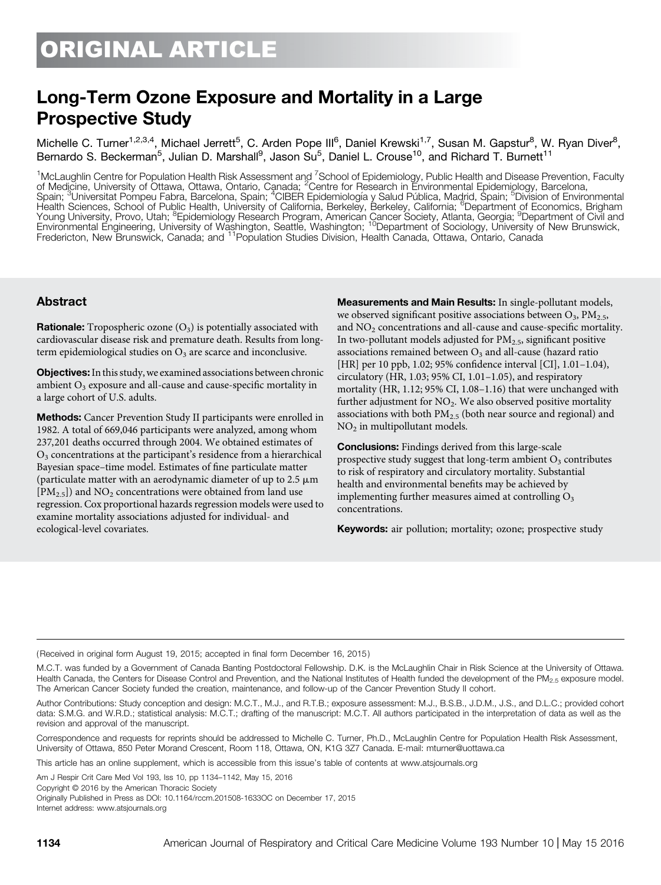# Long-Term Ozone Exposure and Mortality in a Large Prospective Study

Michelle C. Turner<sup>1,2,3,4</sup>, Michael Jerrett<sup>5</sup>, C. Arden Pope III<sup>6</sup>, Daniel Krewski<sup>1,7</sup>, Susan M. Gapstur<sup>8</sup>, W. Ryan Diver<sup>8</sup>, Bernardo S. Beckerman<sup>5</sup>, Julian D. Marshall<sup>9</sup>, Jason Su<sup>5</sup>, Daniel L. Crouse<sup>10</sup>, and Richard T. Burnett<sup>11</sup>

<sup>1</sup>McLaughlin Centre for Population Health Risk Assessment and <sup>7</sup>School of Epidemiology, Public Health and Disease Prevention, Faculty<br>of Medicine, University of Ottawa, Ottawa, Ontario, Canada; <sup>2</sup>Centre for Research in Health Sciences, School of Public Health, University of California, Berkeley, Berkeley, California; <sup>6</sup>Department of Economics, Brigham<br>Young University, Provo, Utah; <sup>8</sup>Epidemiology Research Program, American Cancer Socie Fredericton, New Brunswick, Canada; and 11Population Studies Division, Health Canada, Ottawa, Ontario, Canada

## Abstract

**Rationale:** Tropospheric ozone  $(O_3)$  is potentially associated with cardiovascular disease risk and premature death. Results from longterm epidemiological studies on  $O_3$  are scarce and inconclusive.

Objectives: In this study, we examined associations between chronic ambient  $O_3$  exposure and all-cause and cause-specific mortality in a large cohort of U.S. adults.

Methods: Cancer Prevention Study II participants were enrolled in 1982. A total of 669,046 participants were analyzed, among whom 237,201 deaths occurred through 2004. We obtained estimates of  $O<sub>3</sub>$  concentrations at the participant's residence from a hierarchical Bayesian space–time model. Estimates of fine particulate matter (particulate matter with an aerodynamic diameter of up to  $2.5 \mu m$  $[PM<sub>2.5</sub>]$ ) and NO<sub>2</sub> concentrations were obtained from land use regression. Cox proportional hazards regression models were used to examine mortality associations adjusted for individual- and ecological-level covariates.

Measurements and Main Results: In single-pollutant models, we observed significant positive associations between  $O_3$ , PM<sub>2.5</sub>, and  $NO<sub>2</sub>$  concentrations and all-cause and cause-specific mortality. In two-pollutant models adjusted for  $PM_{2.5}$ , significant positive associations remained between  $O_3$  and all-cause (hazard ratio [HR] per 10 ppb, 1.02; 95% confidence interval [CI], 1.01–1.04), circulatory (HR, 1.03; 95% CI, 1.01–1.05), and respiratory mortality (HR, 1.12; 95% CI, 1.08–1.16) that were unchanged with further adjustment for NO<sub>2</sub>. We also observed positive mortality associations with both  $PM_{2.5}$  (both near source and regional) and NO<sub>2</sub> in multipollutant models.

Conclusions: Findings derived from this large-scale prospective study suggest that long-term ambient  $O<sub>3</sub>$  contributes to risk of respiratory and circulatory mortality. Substantial health and environmental benefits may be achieved by implementing further measures aimed at controlling  $O<sub>3</sub>$ concentrations.

Keywords: air pollution; mortality; ozone; prospective study

(Received in original form August 19, 2015; accepted in final form December 16, 2015 )

Correspondence and requests for reprints should be addressed to Michelle C. Turner, Ph.D., McLaughlin Centre for Population Health Risk Assessment, University of Ottawa, 850 Peter Morand Crescent, Room 118, Ottawa, ON, K1G 3Z7 Canada. E-mail: [mturner@uottawa.ca](mailto:mturner@uottawa.ca)

This article has an online supplement, which is accessible from this issue's table of contents at [www.atsjournals.org](http://www.atsjournals.org)

Am J Respir Crit Care Med Vol 193, Iss 10, pp 1134–1142, May 15, 2016

Copyright © 2016 by the American Thoracic Society

Originally Published in Press as DOI: [10.1164/rccm.201508-1633OC](http://dx.doi.org/10.1164/rccm.201508-1633OC) on December 17, 2015 Internet address: [www.atsjournals.org](http://www.atsjournals.org)

M.C.T. was funded by a Government of Canada Banting Postdoctoral Fellowship. D.K. is the McLaughlin Chair in Risk Science at the University of Ottawa. Health Canada, the Centers for Disease Control and Prevention, and the National Institutes of Health funded the development of the PM<sub>2.5</sub> exposure model. The American Cancer Society funded the creation, maintenance, and follow-up of the Cancer Prevention Study II cohort.

Author Contributions: Study conception and design: M.C.T., M.J., and R.T.B.; exposure assessment: M.J., B.S.B., J.D.M., J.S., and D.L.C.; provided cohort data: S.M.G. and W.R.D.; statistical analysis: M.C.T.; drafting of the manuscript: M.C.T. All authors participated in the interpretation of data as well as the revision and approval of the manuscript.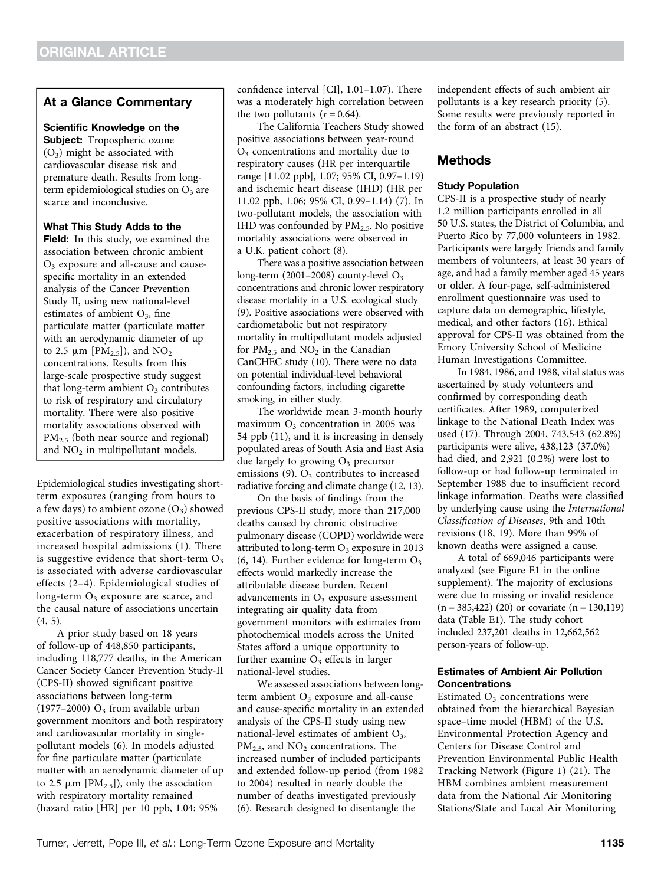## At a Glance Commentary

#### Scientific Knowledge on the

Subject: Tropospheric ozone  $(O_3)$  might be associated with cardiovascular disease risk and premature death. Results from longterm epidemiological studies on  $O<sub>3</sub>$  are scarce and inconclusive.

#### What This Study Adds to the

Field: In this study, we examined the association between chronic ambient  $O<sub>3</sub>$  exposure and all-cause and causespecific mortality in an extended analysis of the Cancer Prevention Study II, using new national-level estimates of ambient  $O_3$ , fine particulate matter (particulate matter with an aerodynamic diameter of up to 2.5  $\mu$ m [PM<sub>2.5</sub>]), and NO<sub>2</sub> concentrations. Results from this large-scale prospective study suggest that long-term ambient  $O_3$  contributes to risk of respiratory and circulatory mortality. There were also positive mortality associations observed with  $PM<sub>2.5</sub>$  (both near source and regional) and  $NO<sub>2</sub>$  in multipollutant models.

Epidemiological studies investigating shortterm exposures (ranging from hours to a few days) to ambient ozone  $(O_3)$  showed positive associations with mortality, exacerbation of respiratory illness, and increased hospital admissions (1). There is suggestive evidence that short-term  $O_3$ is associated with adverse cardiovascular effects (2–4). Epidemiological studies of long-term  $O_3$  exposure are scarce, and the causal nature of associations uncertain  $(4, 5)$ .

A prior study based on 18 years of follow-up of 448,850 participants, including 118,777 deaths, in the American Cancer Society Cancer Prevention Study-II (CPS-II) showed significant positive associations between long-term (1977–2000)  $O_3$  from available urban government monitors and both respiratory and cardiovascular mortality in singlepollutant models (6). In models adjusted for fine particulate matter (particulate matter with an aerodynamic diameter of up to 2.5  $\mu$ m [PM<sub>2.5</sub>]), only the association with respiratory mortality remained (hazard ratio [HR] per 10 ppb, 1.04; 95%

confidence interval [CI], 1.01–1.07). There was a moderately high correlation between the two pollutants  $(r = 0.64)$ .

The California Teachers Study showed positive associations between year-round O3 concentrations and mortality due to respiratory causes (HR per interquartile range [11.02 ppb], 1.07; 95% CI, 0.97–1.19) and ischemic heart disease (IHD) (HR per 11.02 ppb, 1.06; 95% CI, 0.99–1.14) (7). In two-pollutant models, the association with IHD was confounded by  $PM<sub>2.5</sub>$ . No positive mortality associations were observed in a U.K. patient cohort (8).

There was a positive association between long-term (2001–2008) county-level  $O_3$ concentrations and chronic lower respiratory disease mortality in a U.S. ecological study (9). Positive associations were observed with cardiometabolic but not respiratory mortality in multipollutant models adjusted for  $PM_{2.5}$  and  $NO_2$  in the Canadian CanCHEC study (10). There were no data on potential individual-level behavioral confounding factors, including cigarette smoking, in either study.

The worldwide mean 3-month hourly maximum  $O_3$  concentration in 2005 was 54 ppb (11), and it is increasing in densely populated areas of South Asia and East Asia due largely to growing  $O_3$  precursor emissions  $(9)$ .  $O_3$  contributes to increased radiative forcing and climate change (12, 13).

On the basis of findings from the previous CPS-II study, more than 217,000 deaths caused by chronic obstructive pulmonary disease (COPD) worldwide were attributed to long-term  $O_3$  exposure in 2013  $(6, 14)$ . Further evidence for long-term  $O<sub>3</sub>$ effects would markedly increase the attributable disease burden. Recent advancements in  $O<sub>3</sub>$  exposure assessment integrating air quality data from government monitors with estimates from photochemical models across the United States afford a unique opportunity to further examine  $O<sub>3</sub>$  effects in larger national-level studies.

We assessed associations between longterm ambient  $O_3$  exposure and all-cause and cause-specific mortality in an extended analysis of the CPS-II study using new national-level estimates of ambient  $O_3$ ,  $PM<sub>2.5</sub>$ , and  $NO<sub>2</sub>$  concentrations. The increased number of included participants and extended follow-up period (from 1982 to 2004) resulted in nearly double the number of deaths investigated previously (6). Research designed to disentangle the

independent effects of such ambient air pollutants is a key research priority (5). Some results were previously reported in the form of an abstract (15).

## Methods

#### Study Population

CPS-II is a prospective study of nearly 1.2 million participants enrolled in all 50 U.S. states, the District of Columbia, and Puerto Rico by 77,000 volunteers in 1982. Participants were largely friends and family members of volunteers, at least 30 years of age, and had a family member aged 45 years or older. A four-page, self-administered enrollment questionnaire was used to capture data on demographic, lifestyle, medical, and other factors (16). Ethical approval for CPS-II was obtained from the Emory University School of Medicine Human Investigations Committee.

In 1984, 1986, and 1988, vital status was ascertained by study volunteers and confirmed by corresponding death certificates. After 1989, computerized linkage to the National Death Index was used (17). Through 2004, 743,543 (62.8%) participants were alive, 438,123 (37.0%) had died, and 2,921 (0.2%) were lost to follow-up or had follow-up terminated in September 1988 due to insufficient record linkage information. Deaths were classified by underlying cause using the International Classification of Diseases, 9th and 10th revisions (18, 19). More than 99% of known deaths were assigned a cause.

A total of 669,046 participants were analyzed (see Figure E1 in the online supplement). The majority of exclusions were due to missing or invalid residence  $(n = 385,422)$  (20) or covariate  $(n = 130,119)$ data (Table E1). The study cohort included 237,201 deaths in 12,662,562 person-years of follow-up.

#### Estimates of Ambient Air Pollution **Concentrations**

Estimated  $O<sub>3</sub>$  concentrations were obtained from the hierarchical Bayesian space–time model (HBM) of the U.S. Environmental Protection Agency and Centers for Disease Control and Prevention Environmental Public Health Tracking Network (Figure 1) (21). The HBM combines ambient measurement data from the National Air Monitoring Stations/State and Local Air Monitoring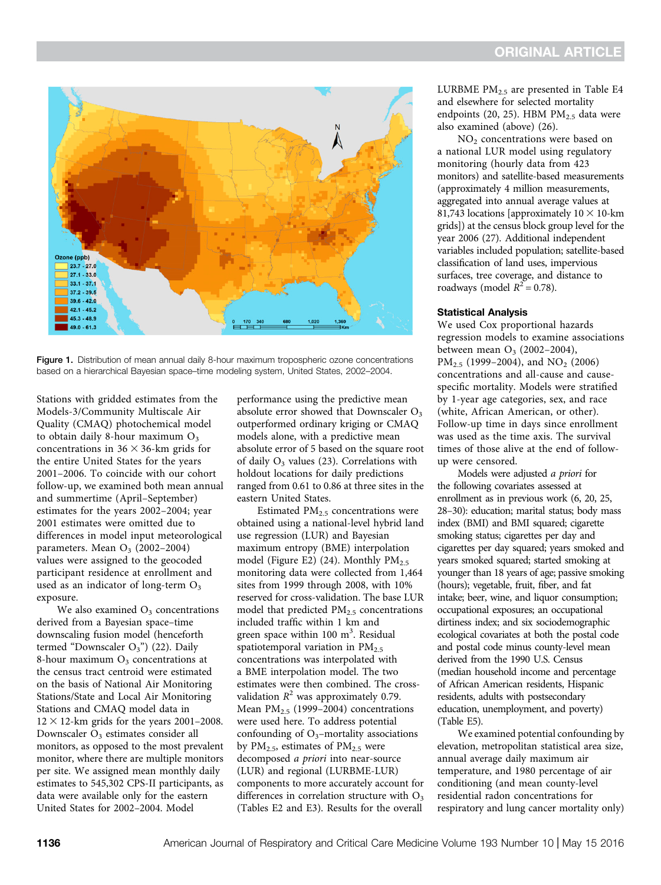

Figure 1. Distribution of mean annual daily 8-hour maximum tropospheric ozone concentrations based on a hierarchical Bayesian space–time modeling system, United States, 2002–2004.

Stations with gridded estimates from the Models-3/Community Multiscale Air Quality (CMAQ) photochemical model to obtain daily 8-hour maximum  $O_3$ concentrations in  $36 \times 36$ -km grids for the entire United States for the years 2001–2006. To coincide with our cohort follow-up, we examined both mean annual and summertime (April–September) estimates for the years 2002–2004; year 2001 estimates were omitted due to differences in model input meteorological parameters. Mean  $O_3$  (2002–2004) values were assigned to the geocoded participant residence at enrollment and used as an indicator of long-term  $O_3$ exposure.

We also examined  $O_3$  concentrations derived from a Bayesian space–time downscaling fusion model (henceforth termed "Downscaler  $O_3$ ") (22). Daily 8-hour maximum  $O<sub>3</sub>$  concentrations at the census tract centroid were estimated on the basis of National Air Monitoring Stations/State and Local Air Monitoring Stations and CMAQ model data in  $12 \times 12$ -km grids for the years 2001–2008. Downscaler  $O<sub>3</sub>$  estimates consider all monitors, as opposed to the most prevalent monitor, where there are multiple monitors per site. We assigned mean monthly daily estimates to 545,302 CPS-II participants, as data were available only for the eastern United States for 2002–2004. Model

performance using the predictive mean absolute error showed that Downscaler  $O<sub>3</sub>$ outperformed ordinary kriging or CMAQ models alone, with a predictive mean absolute error of 5 based on the square root of daily  $O_3$  values (23). Correlations with holdout locations for daily predictions ranged from 0.61 to 0.86 at three sites in the eastern United States.

Estimated  $PM<sub>2.5</sub>$  concentrations were obtained using a national-level hybrid land use regression (LUR) and Bayesian maximum entropy (BME) interpolation model (Figure E2) (24). Monthly  $PM_{2.5}$ monitoring data were collected from 1,464 sites from 1999 through 2008, with 10% reserved for cross-validation. The base LUR model that predicted  $PM<sub>2.5</sub>$  concentrations included traffic within 1 km and green space within 100 m<sup>3</sup>. Residual spatiotemporal variation in  $PM_{2.5}$ concentrations was interpolated with a BME interpolation model. The two estimates were then combined. The crossvalidation  $R^2$  was approximately 0.79. Mean  $PM_{2.5}$  (1999–2004) concentrations were used here. To address potential confounding of  $O_3$ –mortality associations by PM<sub>2.5</sub>, estimates of PM<sub>2.5</sub> were decomposed a priori into near-source (LUR) and regional (LURBME-LUR) components to more accurately account for differences in correlation structure with  $O<sub>3</sub>$ (Tables E2 and E3). Results for the overall

LURBME  $PM_{2.5}$  are presented in Table E4 and elsewhere for selected mortality endpoints (20, 25). HBM  $PM<sub>2.5</sub>$  data were also examined (above) (26).

NO<sub>2</sub> concentrations were based on a national LUR model using regulatory monitoring (hourly data from 423 monitors) and satellite-based measurements (approximately 4 million measurements, aggregated into annual average values at 81,743 locations [approximately  $10 \times 10$ -km grids]) at the census block group level for the year 2006 (27). Additional independent variables included population; satellite-based classification of land uses, impervious surfaces, tree coverage, and distance to roadways (model  $R^2 = 0.78$ ).

#### Statistical Analysis

We used Cox proportional hazards regression models to examine associations between mean  $O_3$  (2002–2004), PM<sub>2.5</sub> (1999–2004), and NO<sub>2</sub> (2006) concentrations and all-cause and causespecific mortality. Models were stratified by 1-year age categories, sex, and race (white, African American, or other). Follow-up time in days since enrollment was used as the time axis. The survival times of those alive at the end of followup were censored.

Models were adjusted a priori for the following covariates assessed at enrollment as in previous work (6, 20, 25, 28–30): education; marital status; body mass index (BMI) and BMI squared; cigarette smoking status; cigarettes per day and cigarettes per day squared; years smoked and years smoked squared; started smoking at younger than 18 years of age; passive smoking (hours); vegetable, fruit, fiber, and fat intake; beer, wine, and liquor consumption; occupational exposures; an occupational dirtiness index; and six sociodemographic ecological covariates at both the postal code and postal code minus county-level mean derived from the 1990 U.S. Census (median household income and percentage of African American residents, Hispanic residents, adults with postsecondary education, unemployment, and poverty) (Table E5).

We examined potential confounding by elevation, metropolitan statistical area size, annual average daily maximum air temperature, and 1980 percentage of air conditioning (and mean county-level residential radon concentrations for respiratory and lung cancer mortality only)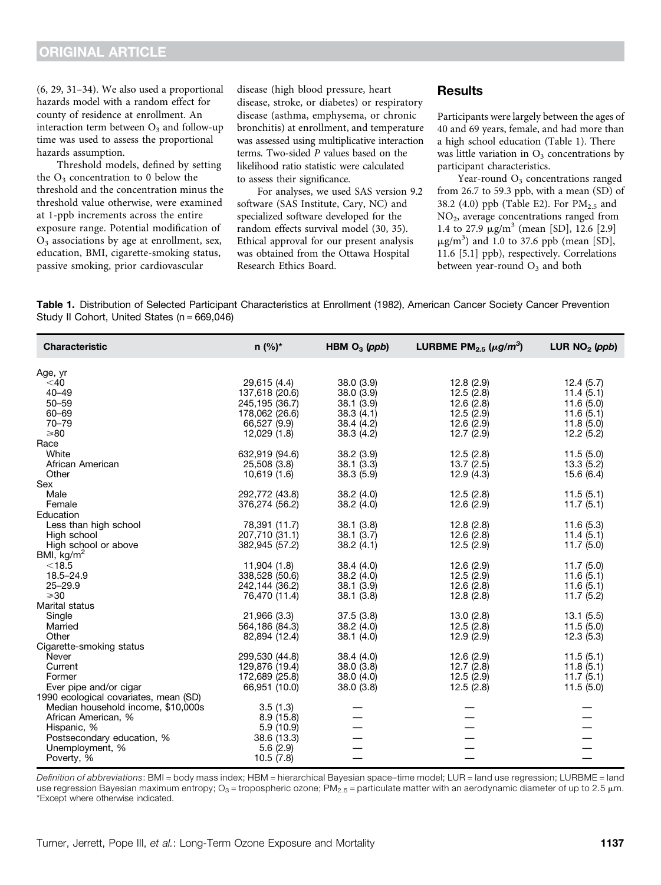(6, 29, 31–34). We also used a proportional hazards model with a random effect for county of residence at enrollment. An interaction term between  $O<sub>3</sub>$  and follow-up time was used to assess the proportional hazards assumption.

Threshold models, defined by setting the  $O<sub>3</sub>$  concentration to 0 below the threshold and the concentration minus the threshold value otherwise, were examined at 1-ppb increments across the entire exposure range. Potential modification of  $O<sub>3</sub>$  associations by age at enrollment, sex, education, BMI, cigarette-smoking status, passive smoking, prior cardiovascular

disease (high blood pressure, heart disease, stroke, or diabetes) or respiratory disease (asthma, emphysema, or chronic bronchitis) at enrollment, and temperature was assessed using multiplicative interaction terms. Two-sided P values based on the likelihood ratio statistic were calculated to assess their significance.

For analyses, we used SAS version 9.2 software (SAS Institute, Cary, NC) and specialized software developed for the random effects survival model (30, 35). Ethical approval for our present analysis was obtained from the Ottawa Hospital Research Ethics Board.

### **Results**

Participants were largely between the ages of 40 and 69 years, female, and had more than a high school education (Table 1). There was little variation in  $O_3$  concentrations by participant characteristics.

Year-round  $O<sub>3</sub>$  concentrations ranged from 26.7 to 59.3 ppb, with a mean (SD) of 38.2 (4.0) ppb (Table E2). For  $PM_{2.5}$  and NO2, average concentrations ranged from 1.4 to 27.9  $\mu$ g/m<sup>3</sup> (mean [SD], 12.6 [2.9]  $\mu$ g/m<sup>3</sup>) and 1.0 to 37.6 ppb (mean [SD], 11.6 [5.1] ppb), respectively. Correlations between year-round  $O_3$  and both

Table 1. Distribution of Selected Participant Characteristics at Enrollment (1982), American Cancer Society Cancer Prevention Study II Cohort, United States (n = 669,046)

| <b>Characteristic</b>                 | $n (%)^*$                       | HBM $O_3$ (ppb) | LURBME PM <sub>2.5</sub> ( $\mu$ g/m <sup>3</sup> ) | LUR $NO2$ (ppb) |
|---------------------------------------|---------------------------------|-----------------|-----------------------------------------------------|-----------------|
| Age, yr                               |                                 |                 |                                                     |                 |
| $<$ 40                                | 29,615 (4.4)                    | 38.0 (3.9)      | 12.8(2.9)                                           | 12.4(5.7)       |
| $40 - 49$                             | 137,618 (20.6)                  | 38.0(3.9)       | 12.5(2.8)                                           | 11.4(5.1)       |
| $50 - 59$                             | 245,195 (36.7)                  | 38.1(3.9)       | 12.6(2.8)                                           | 11.6(5.0)       |
| $60 - 69$                             | 178,062 (26.6)                  | 38.3(4.1)       | 12.5(2.9)                                           | 11.6(5.1)       |
| $70 - 79$                             | 66,527 (9.9)                    | 38.4 (4.2)      | 12.6(2.9)                                           | 11.8(5.0)       |
| $\geq 80$                             | 12,029 (1.8)                    | 38.3 (4.2)      | 12.7(2.9)                                           | 12.2(5.2)       |
| Race                                  |                                 |                 |                                                     |                 |
| White                                 | 632,919 (94.6)                  | 38.2 (3.9)      | 12.5(2.8)                                           | 11.5(5.0)       |
| African American                      | 25,508 (3.8)                    | 38.1(3.3)       | 13.7(2.5)                                           | 13.3(5.2)       |
| Other                                 | 10,619 (1.6)                    | 38.3(5.9)       | 12.9(4.3)                                           | 15.6(6.4)       |
| Sex                                   |                                 |                 |                                                     |                 |
| Male                                  | 292,772 (43.8)                  | 38.2 (4.0)      | 12.5(2.8)                                           | 11.5(5.1)       |
| Female                                | 376,274 (56.2)                  | 38.2(4.0)       | 12.6(2.9)                                           | 11.7(5.1)       |
| Education                             |                                 |                 |                                                     |                 |
| Less than high school                 | 78,391 (11.7)                   | 38.1(3.8)       | 12.8(2.8)                                           | 11.6(5.3)       |
| High school                           | 207,710 (31.1)                  | 38.1(3.7)       | 12.6(2.8)                                           | 11.4(5.1)       |
| High school or above                  | 382,945 (57.2)                  | 38.2(4.1)       | 12.5(2.9)                                           | 11.7(5.0)       |
| BMI, $kg/m2$                          |                                 |                 |                                                     |                 |
| $<$ 18.5                              | 11,904 (1.8)                    | 38.4 (4.0)      | 12.6(2.9)                                           | 11.7(5.0)       |
| 18.5-24.9<br>$25 - 29.9$              | 338,528 (50.6)                  | 38.2 (4.0)      | 12.5(2.9)                                           | 11.6(5.1)       |
| $\geqslant$ 30                        | 242,144 (36.2)<br>76,470 (11.4) | 38.1(3.9)       | 12.6(2.8)                                           | 11.6(5.1)       |
| Marital status                        |                                 | 38.1(3.8)       | 12.8(2.8)                                           | 11.7(5.2)       |
| Single                                | 21,966 (3.3)                    | 37.5(3.8)       | 13.0(2.8)                                           | 13.1(5.5)       |
| Married                               | 564,186 (84.3)                  | 38.2(4.0)       | 12.5(2.8)                                           | 11.5(5.0)       |
| Other                                 | 82,894 (12.4)                   | 38.1(4.0)       | 12.9(2.9)                                           | 12.3(5.3)       |
| Cigarette-smoking status              |                                 |                 |                                                     |                 |
| Never                                 | 299,530 (44.8)                  | 38.4 (4.0)      | 12.6(2.9)                                           | 11.5(5.1)       |
| Current                               | 129,876 (19.4)                  | 38.0(3.8)       | 12.7(2.8)                                           | 11.8(5.1)       |
| Former                                | 172,689 (25.8)                  | 38.0(4.0)       | 12.5(2.9)                                           | 11.7(5.1)       |
| Ever pipe and/or cigar                | 66,951 (10.0)                   | 38.0(3.8)       | 12.5(2.8)                                           | 11.5(5.0)       |
| 1990 ecological covariates, mean (SD) |                                 |                 |                                                     |                 |
| Median household income, \$10,000s    | 3.5(1.3)                        |                 |                                                     |                 |
| African American, %                   | 8.9(15.8)                       |                 |                                                     |                 |
| Hispanic, %                           | 5.9(10.9)                       |                 |                                                     |                 |
| Postsecondary education, %            | 38.6 (13.3)                     |                 |                                                     |                 |
| Unemployment, %                       | 5.6(2.9)                        |                 |                                                     |                 |
| Poverty, %                            | 10.5(7.8)                       |                 |                                                     |                 |

Definition of abbreviations: BMI = body mass index; HBM = hierarchical Bayesian space-time model; LUR = land use regression; LURBME = land use regression Bayesian maximum entropy; O<sub>3</sub> = tropospheric ozone; PM<sub>2.5</sub> = particulate matter with an aerodynamic diameter of up to 2.5  $\mu$ m. \*Except where otherwise indicated.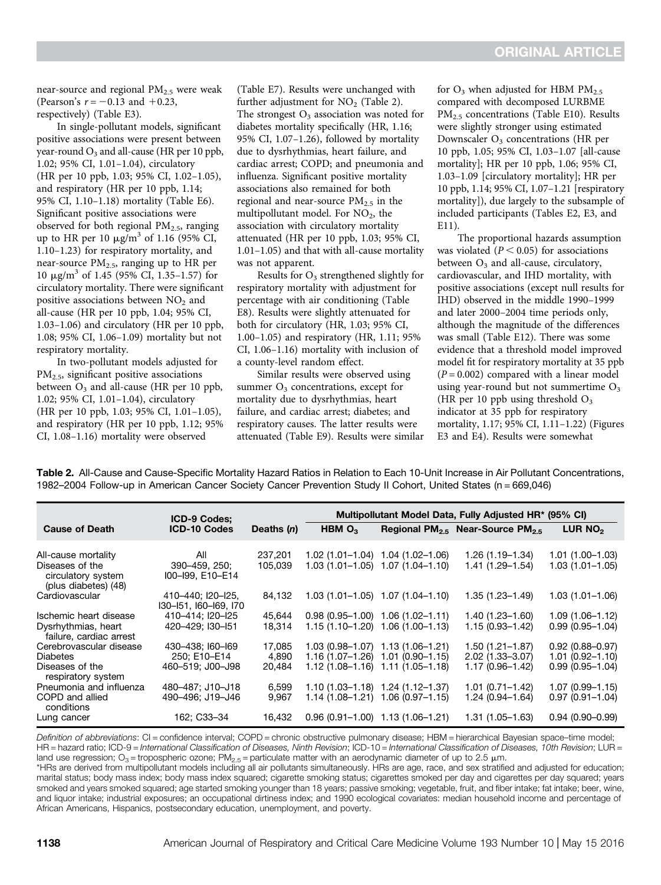near-source and regional  $PM<sub>2.5</sub>$  were weak (Pearson's  $r = -0.13$  and  $+0.23$ , respectively) (Table E3).

In single-pollutant models, significant positive associations were present between year-round  $O_3$  and all-cause (HR per 10 ppb, 1.02; 95% CI, 1.01–1.04), circulatory (HR per 10 ppb, 1.03; 95% CI, 1.02–1.05), and respiratory (HR per 10 ppb, 1.14; 95% CI, 1.10–1.18) mortality (Table E6). Significant positive associations were observed for both regional  $PM<sub>2.5</sub>$ , ranging up to HR per 10  $\mu$ g/m<sup>3</sup> of 1.16 (95% CI, 1.10–1.23) for respiratory mortality, and near-source  $PM<sub>2.5</sub>$ , ranging up to HR per 10  $\mu$ g/m<sup>3</sup> of 1.45 (95% CI, 1.35–1.57) for circulatory mortality. There were significant positive associations between  $NO<sub>2</sub>$  and all-cause (HR per 10 ppb, 1.04; 95% CI, 1.03–1.06) and circulatory (HR per 10 ppb, 1.08; 95% CI, 1.06–1.09) mortality but not respiratory mortality.

In two-pollutant models adjusted for PM2.5, significant positive associations between  $O_3$  and all-cause (HR per 10 ppb, 1.02; 95% CI, 1.01–1.04), circulatory (HR per 10 ppb, 1.03; 95% CI, 1.01–1.05), and respiratory (HR per 10 ppb, 1.12; 95% CI, 1.08–1.16) mortality were observed

(Table E7). Results were unchanged with further adjustment for  $NO<sub>2</sub>$  (Table 2). The strongest  $O_3$  association was noted for diabetes mortality specifically (HR, 1.16; 95% CI, 1.07–1.26), followed by mortality due to dysrhythmias, heart failure, and cardiac arrest; COPD; and pneumonia and influenza. Significant positive mortality associations also remained for both regional and near-source  $PM_{2.5}$  in the multipollutant model. For  $NO<sub>2</sub>$ , the association with circulatory mortality attenuated (HR per 10 ppb, 1.03; 95% CI, 1.01–1.05) and that with all-cause mortality was not apparent.

Results for  $O_3$  strengthened slightly for respiratory mortality with adjustment for percentage with air conditioning (Table E8). Results were slightly attenuated for both for circulatory (HR, 1.03; 95% CI, 1.00–1.05) and respiratory (HR, 1.11; 95% CI, 1.06–1.16) mortality with inclusion of a county-level random effect.

Similar results were observed using summer  $O<sub>3</sub>$  concentrations, except for mortality due to dysrhythmias, heart failure, and cardiac arrest; diabetes; and respiratory causes. The latter results were attenuated (Table E9). Results were similar for  $O_3$  when adjusted for HBM  $PM_{2.5}$ compared with decomposed LURBME  $PM<sub>2.5</sub> concentrations (Table E10). Results$ were slightly stronger using estimated Downscaler  $O_3$  concentrations (HR per 10 ppb, 1.05; 95% CI, 1.03–1.07 [all-cause mortality]; HR per 10 ppb, 1.06; 95% CI, 1.03–1.09 [circulatory mortality]; HR per 10 ppb, 1.14; 95% CI, 1.07–1.21 [respiratory mortality]), due largely to the subsample of included participants (Tables E2, E3, and E11).

The proportional hazards assumption was violated ( $P < 0.05$ ) for associations between  $O_3$  and all-cause, circulatory, cardiovascular, and IHD mortality, with positive associations (except null results for IHD) observed in the middle 1990–1999 and later 2000–2004 time periods only, although the magnitude of the differences was small (Table E12). There was some evidence that a threshold model improved model fit for respiratory mortality at 35 ppb  $(P = 0.002)$  compared with a linear model using year-round but not summertime  $O_3$ (HR per 10 ppb using threshold  $O_3$ indicator at 35 ppb for respiratory mortality, 1.17; 95% CI, 1.11–1.22) (Figures E3 and E4). Results were somewhat

Table 2. All-Cause and Cause-Specific Mortality Hazard Ratios in Relation to Each 10-Unit Increase in Air Pollutant Concentrations, 1982–2004 Follow-up in American Cancer Society Cancer Prevention Study II Cohort, United States (n = 669,046)

|                                                | <b>ICD-9 Codes:</b>                        |                    | Multipollutant Model Data, Fully Adjusted HR* (95% CI) |                                                                        |                                                          |                                         |  |
|------------------------------------------------|--------------------------------------------|--------------------|--------------------------------------------------------|------------------------------------------------------------------------|----------------------------------------------------------|-----------------------------------------|--|
| <b>Cause of Death</b>                          | <b>ICD-10 Codes</b>                        | Deaths $(n)$       | HBM $O_3$                                              |                                                                        | Regional PM <sub>2.5</sub> Near-Source PM <sub>2.5</sub> | LUR $NO2$                               |  |
| All-cause mortality<br>Diseases of the         | All<br>390-459, 250;                       | 237,201<br>105,039 |                                                        | 1.02 (1.01-1.04) 1.04 (1.02-1.06)<br>1.03 (1.01-1.05) 1.07 (1.04-1.10) | 1.26 (1.19–1.34)<br>$1.41(1.29 - 1.54)$                  | 1.01 (1.00–1.03)<br>$1.03(1.01 - 1.05)$ |  |
| circulatory system<br>(plus diabetes) (48)     | I00-I99, E10-E14                           |                    |                                                        |                                                                        |                                                          |                                         |  |
| Cardiovascular                                 | 410-440; I20-I25,<br>I30-I51, I60-I69, I70 | 84,132             |                                                        | $1.03(1.01-1.05)$ $1.07(1.04-1.10)$                                    | $1.35(1.23 - 1.49)$                                      | $1.03(1.01 - 1.06)$                     |  |
| Ischemic heart disease                         | 410-414; I20-I25                           | 45,644             |                                                        | $0.98(0.95-1.00)$ 1.06 (1.02-1.11)                                     | 1.40 (1.23–1.60)                                         | $1.09(1.06 - 1.12)$                     |  |
| Dysrhythmias, heart<br>failure, cardiac arrest | 420-429: I30-I51                           | 18.314             |                                                        | $1.15(1.10-1.20)$ 1.06 (1.00-1.13)                                     | $1.15(0.93 - 1.42)$                                      | $0.99(0.95 - 1.04)$                     |  |
| Cerebrovascular disease                        | 430-438; I60-I69                           | 17,085             |                                                        | $1.03(0.98-1.07)$ $1.13(1.06-1.21)$                                    | $1.50(1.21 - 1.87)$                                      | $0.92(0.88 - 0.97)$                     |  |
| <b>Diabetes</b>                                | 250: E10-E14                               | 4.890              |                                                        | 1.16 (1.07–1.26) 1.01 (0.90–1.15)                                      | $2.02(1.33 - 3.07)$                                      | $1.01(0.92 - 1.10)$                     |  |
| Diseases of the<br>respiratory system          | 460-519; J00-J98                           | 20,484             |                                                        | $1.12(1.08-1.16)$ $1.11(1.05-1.18)$                                    | $1.17(0.96 - 1.42)$                                      | $0.99(0.95 - 1.04)$                     |  |
| Pneumonia and influenza                        | 480-487; J10-J18                           | 6.599              |                                                        | $1.10(1.03 - 1.18)$ 1.24 (1.12-1.37)                                   | $1.01(0.71 - 1.42)$                                      | $1.07(0.99 - 1.15)$                     |  |
| COPD and allied<br>conditions                  | 490-496; J19-J46                           | 9,967              |                                                        | 1.14 (1.08-1.21) 1.06 (0.97-1.15)                                      | $1.24(0.94 - 1.64)$                                      | $0.97(0.91 - 1.04)$                     |  |
| Lung cancer                                    | 162; C33-34                                | 16,432             |                                                        | $0.96(0.91-1.00)$ 1.13 (1.06-1.21)                                     | 1.31 (1.05–1.63)                                         | $0.94(0.90 - 0.99)$                     |  |

Definition of abbreviations: CI = confidence interval; COPD = chronic obstructive pulmonary disease; HBM = hierarchical Bayesian space-time model; HR = hazard ratio; ICD-9 = International Classification of Diseases, Ninth Revision; ICD-10 = International Classification of Diseases, 10th Revision; LUR = land use regression;  $O_3$  = tropospheric ozone; PM<sub>2.5</sub> = particulate matter with an aerodynamic diameter of up to 2.5  $\mu$ m.

\*HRs are derived from multipollutant models including all air pollutants simultaneously. HRs are age, race, and sex stratified and adjusted for education; marital status; body mass index; body mass index squared; cigarette smoking status; cigarettes smoked per day and cigarettes per day squared; years smoked and years smoked squared; age started smoking younger than 18 years; passive smoking; vegetable, fruit, and fiber intake; fat intake; beer, wine, and liquor intake; industrial exposures; an occupational dirtiness index; and 1990 ecological covariates: median household income and percentage of African Americans, Hispanics, postsecondary education, unemployment, and poverty.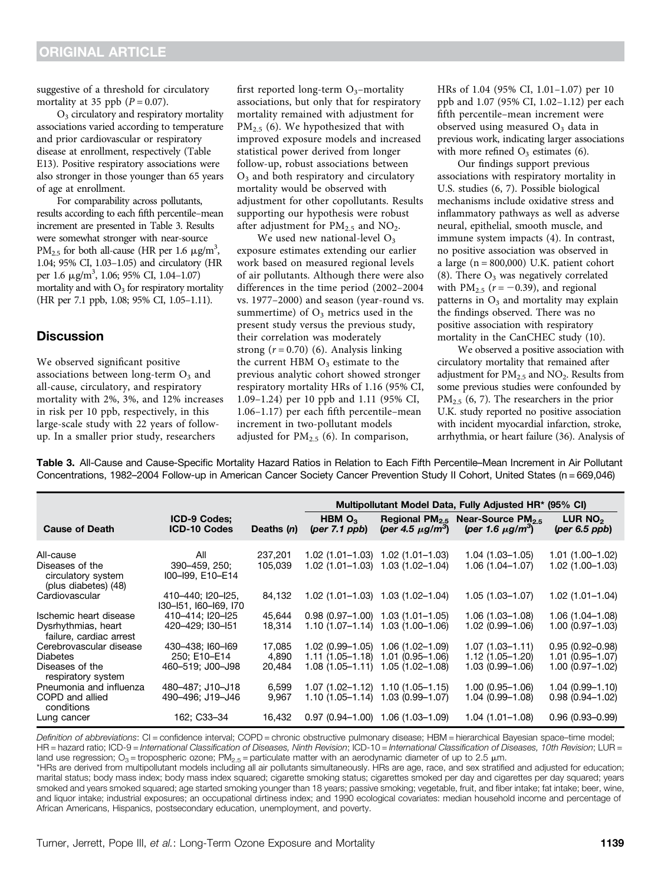suggestive of a threshold for circulatory mortality at 35 ppb  $(P = 0.07)$ .

 $O<sub>3</sub>$  circulatory and respiratory mortality associations varied according to temperature and prior cardiovascular or respiratory disease at enrollment, respectively (Table E13). Positive respiratory associations were also stronger in those younger than 65 years of age at enrollment.

For comparability across pollutants, results according to each fifth percentile–mean increment are presented in Table 3. Results were somewhat stronger with near-source PM<sub>2.5</sub> for both all-cause (HR per 1.6  $\mu$ g/m<sup>3</sup>, 1.04; 95% CI, 1.03–1.05) and circulatory (HR per 1.6  $\mu$ g/m<sup>3</sup>, 1.06; 95% CI, 1.04-1.07) mortality and with  $O_3$  for respiratory mortality (HR per 7.1 ppb, 1.08; 95% CI, 1.05–1.11).

## **Discussion**

We observed significant positive associations between long-term  $O<sub>3</sub>$  and all-cause, circulatory, and respiratory mortality with 2%, 3%, and 12% increases in risk per 10 ppb, respectively, in this large-scale study with 22 years of followup. In a smaller prior study, researchers

first reported long-term  $O_3$ -mortality associations, but only that for respiratory mortality remained with adjustment for  $PM<sub>2.5</sub>$  (6). We hypothesized that with improved exposure models and increased statistical power derived from longer follow-up, robust associations between  $O<sub>3</sub>$  and both respiratory and circulatory mortality would be observed with adjustment for other copollutants. Results supporting our hypothesis were robust after adjustment for  $PM_{2.5}$  and  $NO_2$ .

We used new national-level  $O_3$ exposure estimates extending our earlier work based on measured regional levels of air pollutants. Although there were also differences in the time period (2002–2004 vs. 1977–2000) and season (year-round vs. summertime) of  $O_3$  metrics used in the present study versus the previous study, their correlation was moderately strong  $(r = 0.70)$  (6). Analysis linking the current HBM  $O<sub>3</sub>$  estimate to the previous analytic cohort showed stronger respiratory mortality HRs of 1.16 (95% CI, 1.09–1.24) per 10 ppb and 1.11 (95% CI, 1.06–1.17) per each fifth percentile–mean increment in two-pollutant models adjusted for  $PM_{2.5}$  (6). In comparison,

HRs of 1.04 (95% CI, 1.01–1.07) per 10 ppb and 1.07 (95% CI, 1.02–1.12) per each fifth percentile–mean increment were observed using measured  $O<sub>3</sub>$  data in previous work, indicating larger associations with more refined  $O_3$  estimates (6).

Our findings support previous associations with respiratory mortality in U.S. studies (6, 7). Possible biological mechanisms include oxidative stress and inflammatory pathways as well as adverse neural, epithelial, smooth muscle, and immune system impacts (4). In contrast, no positive association was observed in a large  $(n = 800,000)$  U.K. patient cohort (8). There  $O_3$  was negatively correlated with  $PM_{2.5}$  ( $r = -0.39$ ), and regional patterns in  $O_3$  and mortality may explain the findings observed. There was no positive association with respiratory mortality in the CanCHEC study (10).

We observed a positive association with circulatory mortality that remained after adjustment for  $PM_{2.5}$  and  $NO_2$ . Results from some previous studies were confounded by  $PM_{2.5}$  (6, 7). The researchers in the prior U.K. study reported no positive association with incident myocardial infarction, stroke, arrhythmia, or heart failure (36). Analysis of

Table 3. All-Cause and Cause-Specific Mortality Hazard Ratios in Relation to Each Fifth Percentile–Mean Increment in Air Pollutant Concentrations, 1982–2004 Follow-up in American Cancer Society Cancer Prevention Study II Cohort, United States (n = 669,046)

|                                                               |                                            |              | Multipollutant Model Data, Fully Adjusted HR* (95% CI) |                                                                 |                                                             |                                          |
|---------------------------------------------------------------|--------------------------------------------|--------------|--------------------------------------------------------|-----------------------------------------------------------------|-------------------------------------------------------------|------------------------------------------|
| <b>Cause of Death</b>                                         | <b>ICD-9 Codes:</b><br><b>ICD-10 Codes</b> | Deaths $(n)$ | HBM $O_3$<br>${\rm (per 7.1~ppb)}$                     | Regional PM <sub>2.5</sub><br>(per 4.5 $\mu$ g/m <sup>3</sup> ) | Near-Source $PM_{2.5}$<br>(per 1.6 $\mu$ g/m <sup>3</sup> ) | LUR NO <sub>2</sub><br>$(per 6.5$ $ppb)$ |
| All-cause                                                     | All                                        | 237,201      |                                                        | $1.02(1.01-1.03)$ $1.02(1.01-1.03)$                             | $1.04(1.03 - 1.05)$                                         | $1.01(1.00-1.02)$                        |
| Diseases of the<br>circulatory system<br>(plus diabetes) (48) | 390-459, 250;<br>I00-I99, E10-E14          | 105.039      |                                                        | $1.02$ (1.01-1.03) 1.03 (1.02-1.04)                             | $1.06(1.04 - 1.07)$                                         | $1.02(1.00-1.03)$                        |
| Cardiovascular                                                | 410-440; I20-I25,<br>130-151, 160-169, 170 | 84,132       |                                                        | $1.02$ (1.01-1.03) 1.03 (1.02-1.04)                             | $1.05(1.03 - 1.07)$                                         | $1.02(1.01 - 1.04)$                      |
| Ischemic heart disease                                        | 410-414; I20-I25                           | 45,644       |                                                        | $0.98$ (0.97-1.00) 1.03 (1.01-1.05)                             | $1.06(1.03 - 1.08)$                                         | $1.06(1.04-1.08)$                        |
| Dysrhythmias, heart<br>failure, cardiac arrest                | 420-429: I30-I51                           | 18,314       |                                                        | $1.10(1.07 - 1.14)$ 1.03 (1.00-1.06)                            | $1.02(0.99 - 1.06)$                                         | $1.00(0.97 - 1.03)$                      |
| Cerebrovascular disease                                       | 430-438; I60-I69                           | 17,085       |                                                        | $1.02(0.99 - 1.05)$ $1.06(1.02 - 1.09)$                         | $1.07(1.03 - 1.11)$                                         | $0.95(0.92 - 0.98)$                      |
| <b>Diabetes</b>                                               | 250; E10-E14                               | 4,890        |                                                        | $1.11(1.05 - 1.18)$ $1.01(0.95 - 1.06)$                         | $1.12(1.05 - 1.20)$                                         | $1.01(0.95 - 1.07)$                      |
| Diseases of the<br>respiratory system                         | 460-519; J00-J98                           | 20.484       |                                                        | $1.08(1.05-1.11)$ $1.05(1.02-1.08)$                             | $1.03(0.99 - 1.06)$                                         | $1.00(0.97 - 1.02)$                      |
| Pneumonia and influenza                                       | 480-487; J10-J18                           | 6,599        |                                                        | $1.07(1.02 - 1.12)$ $1.10(1.05 - 1.15)$                         | $1.00(0.95 - 1.06)$                                         | $1.04(0.99 - 1.10)$                      |
| COPD and allied<br>conditions                                 | 490-496; J19-J46                           | 9,967        |                                                        | $1.10(1.05-1.14)$ 1.03 (0.99-1.07)                              | $1.04(0.99 - 1.08)$                                         | $0.98(0.94 - 1.02)$                      |
| Lung cancer                                                   | 162; C33-34                                | 16,432       |                                                        | $0.97(0.94-1.00)$ 1.06 $(1.03-1.09)$                            | $1.04(1.01 - 1.08)$                                         | $0.96(0.93 - 0.99)$                      |

Definition of abbreviations: CI = confidence interval; COPD = chronic obstructive pulmonary disease; HBM = hierarchical Bayesian space-time model; HR = hazard ratio; ICD-9 = International Classification of Diseases, Ninth Revision; ICD-10 = International Classification of Diseases, 10th Revision; LUR = land use regression;  $O_3$  = tropospheric ozone; PM<sub>2.5</sub> = particulate matter with an aerodynamic diameter of up to 2.5  $\mu$ m.

\*HRs are derived from multipollutant models including all air pollutants simultaneously. HRs are age, race, and sex stratified and adjusted for education; marital status; body mass index; body mass index squared; cigarette smoking status; cigarettes smoked per day and cigarettes per day squared; years smoked and years smoked squared; age started smoking younger than 18 years; passive smoking; vegetable, fruit, and fiber intake; fat intake; beer, wine, and liquor intake; industrial exposures; an occupational dirtiness index; and 1990 ecological covariates: median household income and percentage of African Americans, Hispanics, postsecondary education, unemployment, and poverty.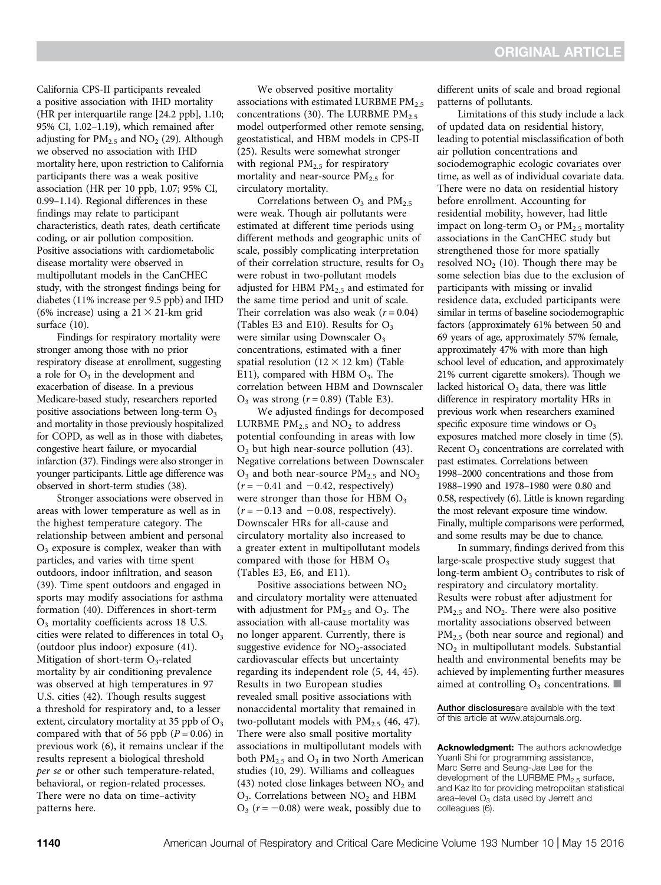California CPS-II participants revealed a positive association with IHD mortality (HR per interquartile range [24.2 ppb], 1.10; 95% CI, 1.02–1.19), which remained after adjusting for  $PM_{2.5}$  and  $NO_2$  (29). Although we observed no association with IHD mortality here, upon restriction to California participants there was a weak positive association (HR per 10 ppb, 1.07; 95% CI, 0.99–1.14). Regional differences in these findings may relate to participant characteristics, death rates, death certificate coding, or air pollution composition. Positive associations with cardiometabolic disease mortality were observed in multipollutant models in the CanCHEC study, with the strongest findings being for diabetes (11% increase per 9.5 ppb) and IHD (6% increase) using a  $21 \times 21$ -km grid surface (10).

Findings for respiratory mortality were stronger among those with no prior respiratory disease at enrollment, suggesting a role for  $O_3$  in the development and exacerbation of disease. In a previous Medicare-based study, researchers reported positive associations between long-term  $O<sub>3</sub>$ and mortality in those previously hospitalized for COPD, as well as in those with diabetes, congestive heart failure, or myocardial infarction (37). Findings were also stronger in younger participants. Little age difference was observed in short-term studies (38).

Stronger associations were observed in areas with lower temperature as well as in the highest temperature category. The relationship between ambient and personal  $O<sub>3</sub>$  exposure is complex, weaker than with particles, and varies with time spent outdoors, indoor infiltration, and season (39). Time spent outdoors and engaged in sports may modify associations for asthma formation (40). Differences in short-term O3 mortality coefficients across 18 U.S. cities were related to differences in total  $O<sub>3</sub>$ (outdoor plus indoor) exposure (41). Mitigation of short-term  $O_3$ -related mortality by air conditioning prevalence was observed at high temperatures in 97 U.S. cities (42). Though results suggest a threshold for respiratory and, to a lesser extent, circulatory mortality at 35 ppb of  $O_3$ compared with that of 56 ppb  $(P = 0.06)$  in previous work (6), it remains unclear if the results represent a biological threshold per se or other such temperature-related, behavioral, or region-related processes. There were no data on time–activity patterns here.

We observed positive mortality associations with estimated LURBME  $PM_{2.5}$ concentrations (30). The LURBME  $PM_{2.5}$ model outperformed other remote sensing, geostatistical, and HBM models in CPS-II (25). Results were somewhat stronger with regional  $PM<sub>2.5</sub>$  for respiratory mortality and near-source  $PM<sub>2.5</sub>$  for circulatory mortality.

Correlations between  $O_3$  and PM<sub>2.5</sub> were weak. Though air pollutants were estimated at different time periods using different methods and geographic units of scale, possibly complicating interpretation of their correlation structure, results for  $O<sub>3</sub>$ were robust in two-pollutant models adjusted for HBM  $PM<sub>2.5</sub>$  and estimated for the same time period and unit of scale. Their correlation was also weak ( $r = 0.04$ ) (Tables E3 and E10). Results for  $O_3$ were similar using Downscaler O<sub>3</sub> concentrations, estimated with a finer spatial resolution  $(12 \times 12 \text{ km})$  (Table E11), compared with HBM  $O_3$ . The correlation between HBM and Downscaler  $O_3$  was strong  $(r = 0.89)$  (Table E3).

We adjusted findings for decomposed LURBME  $PM_{2.5}$  and  $NO_2$  to address potential confounding in areas with low  $O_3$  but high near-source pollution (43). Negative correlations between Downscaler  $O_3$  and both near-source PM<sub>2.5</sub> and NO<sub>2</sub>  $(r = -0.41$  and  $-0.42$ , respectively) were stronger than those for HBM  $O<sub>3</sub>$  $(r = -0.13$  and  $-0.08$ , respectively). Downscaler HRs for all-cause and circulatory mortality also increased to a greater extent in multipollutant models compared with those for HBM  $O<sub>3</sub>$ (Tables E3, E6, and E11).

Positive associations between  $NO<sub>2</sub>$ and circulatory mortality were attenuated with adjustment for  $PM_{2.5}$  and  $O_3$ . The association with all-cause mortality was no longer apparent. Currently, there is suggestive evidence for  $NO<sub>2</sub>$ -associated cardiovascular effects but uncertainty regarding its independent role (5, 44, 45). Results in two European studies revealed small positive associations with nonaccidental mortality that remained in two-pollutant models with  $PM_{2.5}$  (46, 47). There were also small positive mortality associations in multipollutant models with both  $PM_{2.5}$  and  $O_3$  in two North American studies (10, 29). Williams and colleagues (43) noted close linkages between  $NO<sub>2</sub>$  and  $O_3$ . Correlations between  $NO_2$  and HBM  $O_3$  ( $r = -0.08$ ) were weak, possibly due to

different units of scale and broad regional patterns of pollutants.

Limitations of this study include a lack of updated data on residential history, leading to potential misclassification of both air pollution concentrations and sociodemographic ecologic covariates over time, as well as of individual covariate data. There were no data on residential history before enrollment. Accounting for residential mobility, however, had little impact on long-term  $O_3$  or  $PM_{2.5}$  mortality associations in the CanCHEC study but strengthened those for more spatially resolved  $NO<sub>2</sub>$  (10). Though there may be some selection bias due to the exclusion of participants with missing or invalid residence data, excluded participants were similar in terms of baseline sociodemographic factors (approximately 61% between 50 and 69 years of age, approximately 57% female, approximately 47% with more than high school level of education, and approximately 21% current cigarette smokers). Though we lacked historical  $O<sub>3</sub>$  data, there was little difference in respiratory mortality HRs in previous work when researchers examined specific exposure time windows or  $O_3$ exposures matched more closely in time (5). Recent  $O<sub>3</sub>$  concentrations are correlated with past estimates. Correlations between 1998–2000 concentrations and those from 1988–1990 and 1978–1980 were 0.80 and 0.58, respectively (6). Little is known regarding the most relevant exposure time window. Finally, multiple comparisons were performed, and some results may be due to chance.

In summary, findings derived from this large-scale prospective study suggest that long-term ambient  $O<sub>3</sub>$  contributes to risk of respiratory and circulatory mortality. Results were robust after adjustment for  $PM_{2.5}$  and  $NO_2$ . There were also positive mortality associations observed between PM<sub>2.5</sub> (both near source and regional) and NO2 in multipollutant models. Substantial health and environmental benefits may be achieved by implementing further measures aimed at controlling  $O_3$  concentrations.

[Author disclosures](http://www.atsjournals.org/doi/suppl/10.1164/rccm.201508-1617LE/suppl_file/disclosures.pdf)are available with the text of this article at [www.atsjournals.org.](http://www.atsjournals.org)

Acknowledgment: The authors acknowledge Yuanli Shi for programming assistance, Marc Serre and Seung-Jae Lee for the development of the LURBME PM<sub>2.5</sub> surface, and Kaz Ito for providing metropolitan statistical area–level  $O_3$  data used by Jerrett and colleagues (6).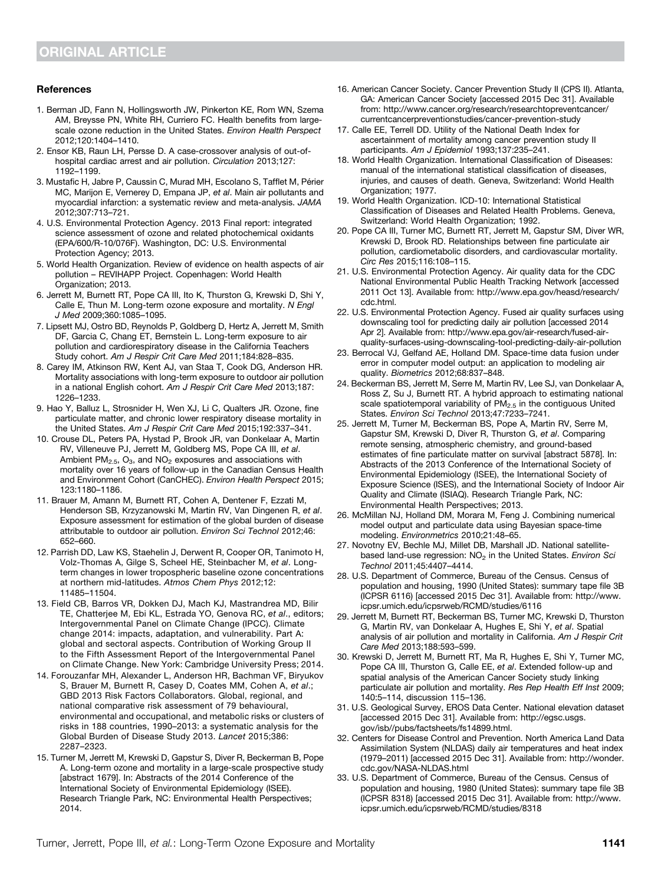#### References

- 1. Berman JD, Fann N, Hollingsworth JW, Pinkerton KE, Rom WN, Szema AM, Breysse PN, White RH, Curriero FC. Health benefits from largescale ozone reduction in the United States. Environ Health Perspect 2012;120:1404–1410.
- 2. Ensor KB, Raun LH, Persse D. A case-crossover analysis of out-ofhospital cardiac arrest and air pollution. Circulation 2013;127: 1192–1199.
- 3. Mustafic H, Jabre P, Caussin C, Murad MH, Escolano S, Tafflet M, Périer MC, Marijon E, Vernerey D, Empana JP, et al. Main air pollutants and myocardial infarction: a systematic review and meta-analysis. JAMA 2012;307:713–721.
- 4. U.S. Environmental Protection Agency. 2013 Final report: integrated science assessment of ozone and related photochemical oxidants (EPA/600/R-10/076F). Washington, DC: U.S. Environmental Protection Agency; 2013.
- 5. World Health Organization. Review of evidence on health aspects of air pollution – REVIHAPP Project. Copenhagen: World Health Organization; 2013.
- 6. Jerrett M, Burnett RT, Pope CA III, Ito K, Thurston G, Krewski D, Shi Y, Calle E, Thun M. Long-term ozone exposure and mortality. N Engl J Med 2009;360:1085–1095.
- 7. Lipsett MJ, Ostro BD, Reynolds P, Goldberg D, Hertz A, Jerrett M, Smith DF, Garcia C, Chang ET, Bernstein L. Long-term exposure to air pollution and cardiorespiratory disease in the California Teachers Study cohort. Am J Respir Crit Care Med 2011;184:828–835.
- 8. Carey IM, Atkinson RW, Kent AJ, van Staa T, Cook DG, Anderson HR. Mortality associations with long-term exposure to outdoor air pollution in a national English cohort. Am J Respir Crit Care Med 2013;187: 1226–1233.
- 9. Hao Y, Balluz L, Strosnider H, Wen XJ, Li C, Qualters JR. Ozone, fine particulate matter, and chronic lower respiratory disease mortality in the United States. Am J Respir Crit Care Med 2015;192:337–341.
- 10. Crouse DL, Peters PA, Hystad P, Brook JR, van Donkelaar A, Martin RV, Villeneuve PJ, Jerrett M, Goldberg MS, Pope CA III, et al. Ambient  $PM<sub>2.5</sub>$ , O<sub>3</sub>, and  $NO<sub>2</sub>$  exposures and associations with mortality over 16 years of follow-up in the Canadian Census Health and Environment Cohort (CanCHEC). Environ Health Perspect 2015; 123:1180–1186.
- 11. Brauer M, Amann M, Burnett RT, Cohen A, Dentener F, Ezzati M, Henderson SB, Krzyzanowski M, Martin RV, Van Dingenen R, et al. Exposure assessment for estimation of the global burden of disease attributable to outdoor air pollution. Environ Sci Technol 2012;46: 652–660.
- 12. Parrish DD, Law KS, Staehelin J, Derwent R, Cooper OR, Tanimoto H, Volz-Thomas A, Gilge S, Scheel HE, Steinbacher M, et al. Longterm changes in lower tropospheric baseline ozone concentrations at northern mid-latitudes. Atmos Chem Phys 2012;12: 11485–11504.
- 13. Field CB, Barros VR, Dokken DJ, Mach KJ, Mastrandrea MD, Bilir TE, Chatterjee M, Ebi KL, Estrada YO, Genova RC, et al., editors; Intergovernmental Panel on Climate Change (IPCC). Climate change 2014: impacts, adaptation, and vulnerability. Part A: global and sectoral aspects. Contribution of Working Group II to the Fifth Assessment Report of the Intergovernmental Panel on Climate Change. New York: Cambridge University Press; 2014.
- 14. Forouzanfar MH, Alexander L, Anderson HR, Bachman VF, Biryukov S, Brauer M, Burnett R, Casey D, Coates MM, Cohen A, et al.; GBD 2013 Risk Factors Collaborators. Global, regional, and national comparative risk assessment of 79 behavioural, environmental and occupational, and metabolic risks or clusters of risks in 188 countries, 1990–2013: a systematic analysis for the Global Burden of Disease Study 2013. Lancet 2015;386: 2287–2323.
- 15. Turner M, Jerrett M, Krewski D, Gapstur S, Diver R, Beckerman B, Pope A. Long-term ozone and mortality in a large-scale prospective study [abstract 1679]. In: Abstracts of the 2014 Conference of the International Society of Environmental Epidemiology (ISEE). Research Triangle Park, NC: Environmental Health Perspectives; 2014.
- 16. American Cancer Society. Cancer Prevention Study II (CPS II). Atlanta, GA: American Cancer Society [accessed 2015 Dec 31]. Available from: [http://www.cancer.org/research/researchtopreventcancer/](http://www.cancer.org/research/researchtopreventcancer/currentcancerpreventionstudies/cancer-prevention-study) [currentcancerpreventionstudies/cancer-prevention-study](http://www.cancer.org/research/researchtopreventcancer/currentcancerpreventionstudies/cancer-prevention-study)
- 17. Calle EE, Terrell DD. Utility of the National Death Index for ascertainment of mortality among cancer prevention study II participants. Am J Epidemiol 1993;137:235–241.
- 18. World Health Organization. International Classification of Diseases: manual of the international statistical classification of diseases, injuries, and causes of death. Geneva, Switzerland: World Health Organization; 1977.
- 19. World Health Organization. ICD-10: International Statistical Classification of Diseases and Related Health Problems. Geneva, Switzerland: World Health Organization; 1992.
- 20. Pope CA III, Turner MC, Burnett RT, Jerrett M, Gapstur SM, Diver WR, Krewski D, Brook RD. Relationships between fine particulate air pollution, cardiometabolic disorders, and cardiovascular mortality. Circ Res 2015;116:108–115.
- 21. U.S. Environmental Protection Agency. Air quality data for the CDC National Environmental Public Health Tracking Network [accessed 2011 Oct 13]. Available from: [http://www.epa.gov/heasd/research/](http://www.epa.gov/heasd/research/cdc.html) [cdc.html.](http://www.epa.gov/heasd/research/cdc.html)
- 22. U.S. Environmental Protection Agency. Fused air quality surfaces using downscaling tool for predicting daily air pollution [accessed 2014 Apr 2]. Available from: [http://www.epa.gov/air-research/fused-air](http://www.epa.gov/air-research/fused-air-quality-surfaces-using-downscaling-tool-predicting-daily-air-pollution)[quality-surfaces-using-downscaling-tool-predicting-daily-air-pollution](http://www.epa.gov/air-research/fused-air-quality-surfaces-using-downscaling-tool-predicting-daily-air-pollution)
- 23. Berrocal VJ, Gelfand AE, Holland DM. Space-time data fusion under error in computer model output: an application to modeling air quality. Biometrics 2012;68:837–848.
- 24. Beckerman BS, Jerrett M, Serre M, Martin RV, Lee SJ, van Donkelaar A, Ross Z, Su J, Burnett RT. A hybrid approach to estimating national scale spatiotemporal variability of  $PM<sub>2.5</sub>$  in the contiguous United States. Environ Sci Technol 2013;47:7233–7241.
- 25. Jerrett M, Turner M, Beckerman BS, Pope A, Martin RV, Serre M, Gapstur SM, Krewski D, Diver R, Thurston G, et al. Comparing remote sensing, atmospheric chemistry, and ground-based estimates of fine particulate matter on survival [abstract 5878]. In: Abstracts of the 2013 Conference of the International Society of Environmental Epidemiology (ISEE), the International Society of Exposure Science (ISES), and the International Society of Indoor Air Quality and Climate (ISIAQ). Research Triangle Park, NC: Environmental Health Perspectives; 2013.
- 26. McMillan NJ, Holland DM, Morara M, Feng J. Combining numerical model output and particulate data using Bayesian space-time modeling. Environmetrics 2010;21:48–65.
- 27. Novotny EV, Bechle MJ, Millet DB, Marshall JD. National satellitebased land-use regression:  $NO<sub>2</sub>$  in the United States. Environ Sci Technol 2011;45:4407–4414.
- 28. U.S. Department of Commerce, Bureau of the Census. Census of population and housing, 1990 (United States): summary tape file 3B (ICPSR 6116) [accessed 2015 Dec 31]. Available from: [http://www.](http://www.icpsr.umich.edu/icpsrweb/RCMD/studies/6116) [icpsr.umich.edu/icpsrweb/RCMD/studies/6116](http://www.icpsr.umich.edu/icpsrweb/RCMD/studies/6116)
- 29. Jerrett M, Burnett RT, Beckerman BS, Turner MC, Krewski D, Thurston G, Martin RV, van Donkelaar A, Hughes E, Shi Y, et al. Spatial analysis of air pollution and mortality in California. Am J Respir Crit Care Med 2013;188:593–599.
- 30. Krewski D, Jerrett M, Burnett RT, Ma R, Hughes E, Shi Y, Turner MC, Pope CA III, Thurston G, Calle EE, et al. Extended follow-up and spatial analysis of the American Cancer Society study linking particulate air pollution and mortality. Res Rep Health Eff Inst 2009; 140:5–114, discussion 115–136.
- 31. U.S. Geological Survey, EROS Data Center. National elevation dataset [accessed 2015 Dec 31]. Available from: [http://egsc.usgs.](http://egsc.usgs.gov/isb//pubs/factsheets/fs14899.html) [gov/isb//pubs/factsheets/fs14899.html.](http://egsc.usgs.gov/isb//pubs/factsheets/fs14899.html)
- 32. Centers for Disease Control and Prevention. North America Land Data Assimilation System (NLDAS) daily air temperatures and heat index (1979–2011) [accessed 2015 Dec 31]. Available from: [http://wonder.](http://wonder.cdc.gov/NASA-NLDAS.html) [cdc.gov/NASA-NLDAS.html](http://wonder.cdc.gov/NASA-NLDAS.html)
- 33. U.S. Department of Commerce, Bureau of the Census. Census of population and housing, 1980 (United States): summary tape file 3B (ICPSR 8318) [accessed 2015 Dec 31]. Available from: [http://www.](http://www.icpsr.umich.edu/icpsrweb/RCMD/studies/8318) [icpsr.umich.edu/icpsrweb/RCMD/studies/8318](http://www.icpsr.umich.edu/icpsrweb/RCMD/studies/8318)